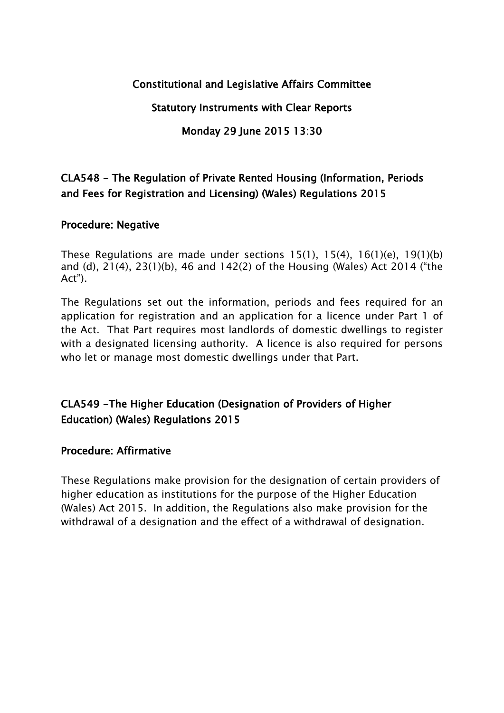### **Constitutional and Legislative Affairs Committee**

**Statutory Instruments with Clear Reports**

### **Monday 29 June 2015 13:30**

# **CLA548 - The Regulation of Private Rented Housing (Information, Periods and Fees for Registration and Licensing) (Wales) Regulations 2015**

### **Procedure: Negative**

These Regulations are made under sections 15(1), 15(4), 16(1)(e), 19(1)(b) and (d), 21(4), 23(1)(b), 46 and 142(2) of the Housing (Wales) Act 2014 ("the Act").

The Regulations set out the information, periods and fees required for an application for registration and an application for a licence under Part 1 of the Act. That Part requires most landlords of domestic dwellings to register with a designated licensing authority. A licence is also required for persons who let or manage most domestic dwellings under that Part.

# **CLA549 -The Higher Education (Designation of Providers of Higher Education) (Wales) Regulations 2015**

### **Procedure: Affirmative**

These Regulations make provision for the designation of certain providers of higher education as institutions for the purpose of the Higher Education (Wales) Act 2015. In addition, the Regulations also make provision for the withdrawal of a designation and the effect of a withdrawal of designation.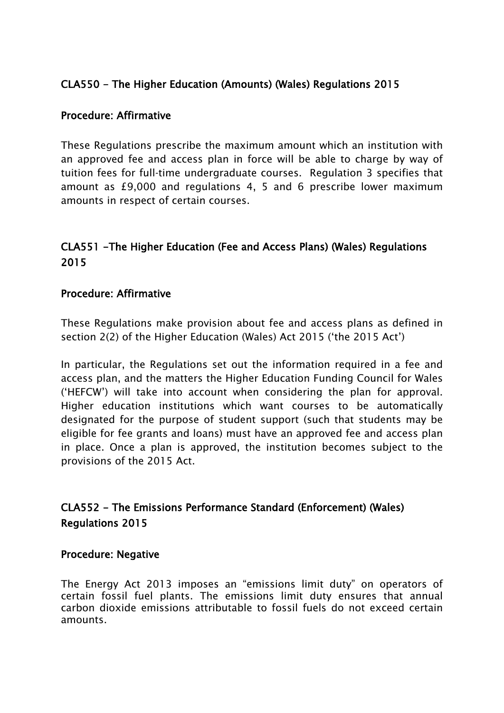## **CLA550 - The Higher Education (Amounts) (Wales) Regulations 2015**

#### **Procedure: Affirmative**

These Regulations prescribe the maximum amount which an institution with an approved fee and access plan in force will be able to charge by way of tuition fees for full-time undergraduate courses. Regulation 3 specifies that amount as £9,000 and regulations 4, 5 and 6 prescribe lower maximum amounts in respect of certain courses.

# **CLA551 -The Higher Education (Fee and Access Plans) (Wales) Regulations 2015**

#### **Procedure: Affirmative**

These Regulations make provision about fee and access plans as defined in section 2(2) of the Higher Education (Wales) Act 2015 ('the 2015 Act')

In particular, the Regulations set out the information required in a fee and access plan, and the matters the Higher Education Funding Council for Wales ('HEFCW') will take into account when considering the plan for approval. Higher education institutions which want courses to be automatically designated for the purpose of student support (such that students may be eligible for fee grants and loans) must have an approved fee and access plan in place. Once a plan is approved, the institution becomes subject to the provisions of the 2015 Act.

## **CLA552 - The Emissions Performance Standard (Enforcement) (Wales) Regulations 2015**

#### **Procedure: Negative**

The Energy Act 2013 imposes an "emissions limit duty" on operators of certain fossil fuel plants. The emissions limit duty ensures that annual carbon dioxide emissions attributable to fossil fuels do not exceed certain amounts.